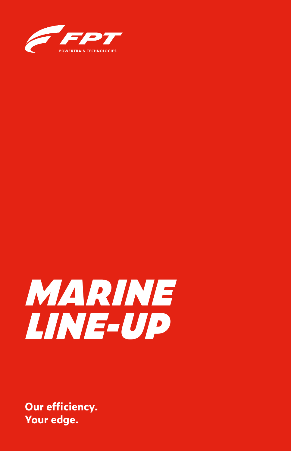



**Our efficiency. Your edge.**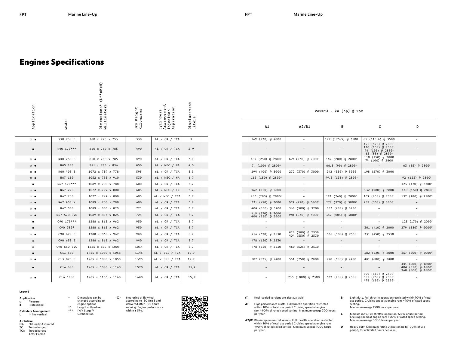$\overline{a}$ 

## **Engines Specifications**

|                   |                   | (L**xWxH)                  |                         |                                                     |                        |  |
|-------------------|-------------------|----------------------------|-------------------------|-----------------------------------------------------|------------------------|--|
| Application       | Mode <sub>1</sub> | Dimensions*<br>Millimeters | Dry Weight<br>Kilograms | Arrangement<br>Aspiration<br>Cylinders<br>Injection | Displacement<br>Liters |  |
| $\circ\bullet$    | S30 230 E         | 780 x 775 x 753            | 330                     | 4L / CR / TCA                                       | 3                      |  |
|                   | N40 170***        | 850 x 780 x 785            | 490                     | 4L / CR / TCA                                       | 3,9                    |  |
| $\circ$ $\bullet$ | N40 250 E         | 850 x 780 x 785            | 490                     | 4L / CR / TCA                                       | 3,9                    |  |
| $\circ$ $\bullet$ | N45 100           | 811 x 700 x 836            | 450                     | 4L / MEC / NA                                       | 4,5                    |  |
| $\circ\bullet$    | N60 400 E         | 1072 x 739 x 778           | 595                     | 6L / CR / TCA                                       | 5,9                    |  |
| $\circ\bullet$    | N67 150           | 1052 x 705 x 910           | 530                     | 6L / MEC / NA                                       | 6,7                    |  |
| ٠                 | N67 170***        | 1089 x 780 x 788           | 600                     | 6L / CR / TCA                                       | 6,7                    |  |
| $\circ\bullet$    | N67 220           | 1072 x 749 x 800           | 605                     | 6L / MEC / TC                                       | 6,7                    |  |
| $\circ$ $\bullet$ | N67 280           | 1072 x 749 x 800           | 605                     | 6L / MEC / TCA                                      | 6,7                    |  |
| $\circ$ $\bullet$ | N67 450 N         | 1089 x 780 x 788           | 600                     | 6L / CR / TCA                                       | 6,7                    |  |
| $^{\circ}$        | N67 550           | 1089 x 850 x 825           | 721                     | 6L / CR / TCA                                       | 6,7                    |  |
| $\circ$ $\bullet$ | N67 570 EVO       | 1089 x 847 x 825           | 721                     | 6L / CR / TCA                                       | 6,7                    |  |
|                   | C90 170***        | 1288 x 863 x 962           | 950                     | 6L / CR / TCA                                       | 8,7                    |  |
| $\bullet$         | C90 3801          | 1288 x 863 x 962           | 950                     | 6L / CR / TCA                                       | 8,7                    |  |
| $\circ\bullet$    | C90 620 E         | 1288 x 868 x 962           | 940                     | 6L / CR / TCA                                       | 8,7                    |  |
| $\circ$           | C90 650 E         | 1288 x 868 x 962           | 940                     | 6L / CR / TCA                                       | 8,7                    |  |
| $\circ$           | C90 650 EVO       | 1226 x 899 x 1009          | 1014                    | 6L / CR / TCA                                       | 8,7                    |  |
| $\bullet$         | C13 500           | 1465 x 1000 x 1058         | 1345                    | 6L / EUI / TCA                                      | 12,9                   |  |
| $\circ\bullet$    | C13 825 E         | 1465 x 1000 x 1058         | 1395                    | 6L / EUI / TCA                                      | 12,9                   |  |
|                   | C16 600           | 1465 x 1000 x 1160         | 1570                    | 6L / CR / TCA                                       | 15,9                   |  |
| $\circ\bullet$    | C16 1000          | 1465 x 1136 x 1160         | 1640                    | 6L / CR / TCA                                       | 15,9                   |  |

**Legend**

## **Application**

Pleasure Professional  $\bullet$ 

**Cylinders Arrangement** L In line vertical

**Air Intake**

- NA Naturally Aspirated<br>TC Turbocharged
- TC Turbocharged<br>TCA Turbocharged
- Turbocharged
- After Cooled

| (1) | Keel-cooled versions are also available. |
|-----|------------------------------------------|
|     |                                          |
|     |                                          |

419 (570) @ 3000

- **A1** High performance crafts. Full throttle operation restricted within 10% of total use period Cruising speed at engine rpm <90% of rated speed setting. Maximum useage 300 hours per year.
- **A2/B1** Pleasure/commercial vessels. Full throttle operation restricted within 10% of total use period Cruising speed at engine rpm <90% of rated speed setting. Maximum useage 1000 hours per year.
- **B** Light duty. Full throttle operation restricted within 10% of total use period. Cruising speed at engine rpm <90% of rated speed setting. Maximum useage 1500 hours per year.

125 (170) @ 28001 110 (150) @ 28001 74 (100) @ 28001 63 (85) @ 28001

74 (100) @ 2800 –

–

– – – – 125 (170) @ 2000 – – – 301 (410) @ 2000 279 (380) @ 20001

382 (520) @ 2000 367 (500) @ 2000<sup>1</sup>

441 (600) @ 18001 404 (550) @ 18001 368 (500) @ 18001

- **C** Medium duty. Full throttle operation <25% of use period. Cruising speed at engine rpm <90% of rated speed setting. Maximum useage 3000 hours per year.
- **D** Heavy duty. Maximum rating utilisation up to 100% of use period, for unlimited hours per year.

| Power <sup>2</sup> - kW (hp) @ rpm |  |  |  |  |
|------------------------------------|--|--|--|--|
|------------------------------------|--|--|--|--|

169 (230) @ 4000 – 129 (175,5) @ 3500 85 (115,6) @ 3500 –

390 (530) @ 3000<sup>1</sup> 357 (485) @ 3000<sup>1</sup>

**A1 A2/B1 B C D**

74 (100) @ 28001 – 66,5 (90) @ 28001 – 63 (85) @ 28001 294 (400) @ 3000 272 (370) @ 3000 242 (330) @ 3000 198 (270) @ 3000 – 110 (150) @ 28001 – 99,5 (135) @ 28001 – 92 (125) @ 28001 – – – – 125 (170) @ 23001 162 (220) @ 2800 – – 132 (180) @ 2800 110 (150) @ 2800 206 (280) @ 28001 – 191 (260) @ 28001 169 (230) @ 28001 132 (180) @ 25001 331 (450) @ 3000 309 (420) @ 30001 272 (370) @ 30001 257 (350) @ 30001 – 404 (550) @ 3200 368 (500) @ 3200 353 (480) @ 3200 – –

| $-0 - 1$         |                                      |                  |                                                                                                 |                                     |
|------------------|--------------------------------------|------------------|-------------------------------------------------------------------------------------------------|-------------------------------------|
|                  |                                      |                  |                                                                                                 | 125 (170)                           |
|                  |                                      |                  | 301 (410) @ 2000                                                                                | 279 (380)                           |
| 456 (620) @ 2530 | 426 (580) @ 2530<br>404 (550) @ 2530 | 368 (500) @ 2530 | 331 (450) @ 2530                                                                                |                                     |
| 478 (650) @ 2530 |                                      |                  |                                                                                                 | $\overline{\phantom{a}}$            |
| 478 (650) @ 2530 | 460 (625) @ 2530                     |                  |                                                                                                 | ۰                                   |
|                  |                                      |                  | 382 (520) @ 2000                                                                                | 367 (500)                           |
| 607 (825) @ 2400 | 551 (750) @ 2400                     | 478 (650) @ 2400 | 441 (600) @ 2400                                                                                | ۰                                   |
|                  |                                      |                  |                                                                                                 | 441 (600)<br>404 (550)<br>368 (500) |
|                  | 735 (1000) @ 2300                    | 662 (900) @ 2300 | 599 (815) @ 2300 <sup>1</sup><br>551 (750) @ 2300 <sup>1</sup><br>478 (650) @ 2300 <sup>1</sup> |                                     |
|                  |                                      |                  |                                                                                                 |                                     |

– – –

184 (250) @ 2800<sup>1</sup> 169 (230) @ 2800<sup>1</sup> 147 (200) @ 2800<sup>1</sup>

changed according to engine options \*\* Lenght at flywheel **IWV Stage V** Certification

Dimensions can be (2) Net rating at flywheel according to ISO 8665 and delivered after ~ 50 hours running. Engine performance within  $± 5%$ .